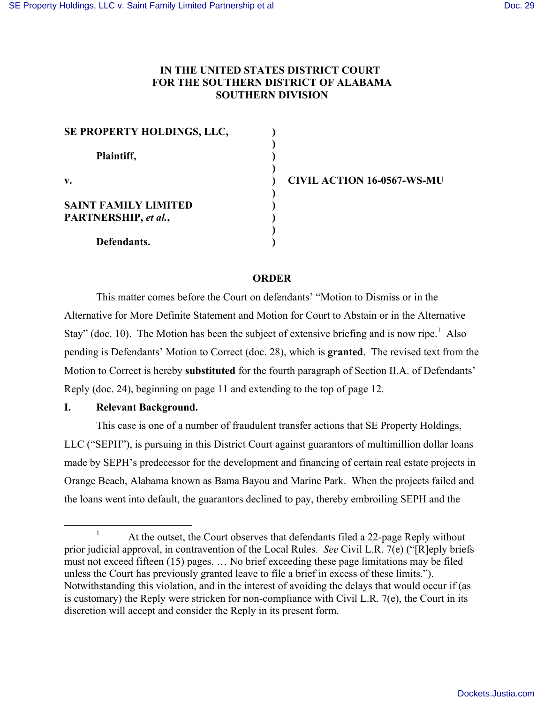# **IN THE UNITED STATES DISTRICT COURT FOR THE SOUTHERN DISTRICT OF ALABAMA SOUTHERN DIVISION**

| SE PROPERTY HOLDINGS, LLC,  |  |
|-----------------------------|--|
| Plaintiff,                  |  |
| $\mathbf{v}$ .              |  |
| <b>SAINT FAMILY LIMITED</b> |  |
| PARTNERSHIP, et al.,        |  |
| Defendants.                 |  |

**v. ) CIVIL ACTION 16-0567-WS-MU**

## **ORDER**

This matter comes before the Court on defendants' "Motion to Dismiss or in the Alternative for More Definite Statement and Motion for Court to Abstain or in the Alternative Stay" (doc. 10). The Motion has been the subject of extensive briefing and is now ripe.<sup>1</sup> Also pending is Defendants' Motion to Correct (doc. 28), which is **granted**. The revised text from the Motion to Correct is hereby **substituted** for the fourth paragraph of Section II.A. of Defendants' Reply (doc. 24), beginning on page 11 and extending to the top of page 12.

## **I. Relevant Background.**

This case is one of a number of fraudulent transfer actions that SE Property Holdings, LLC ("SEPH"), is pursuing in this District Court against guarantors of multimillion dollar loans made by SEPH's predecessor for the development and financing of certain real estate projects in Orange Beach, Alabama known as Bama Bayou and Marine Park. When the projects failed and the loans went into default, the guarantors declined to pay, thereby embroiling SEPH and the

At the outset, the Court observes that defendants filed a 22-page Reply without prior judicial approval, in contravention of the Local Rules. *See* Civil L.R. 7(e) ("[R]eply briefs must not exceed fifteen (15) pages. … No brief exceeding these page limitations may be filed unless the Court has previously granted leave to file a brief in excess of these limits."). Notwithstanding this violation, and in the interest of avoiding the delays that would occur if (as is customary) the Reply were stricken for non-compliance with Civil L.R. 7(e), the Court in its discretion will accept and consider the Reply in its present form.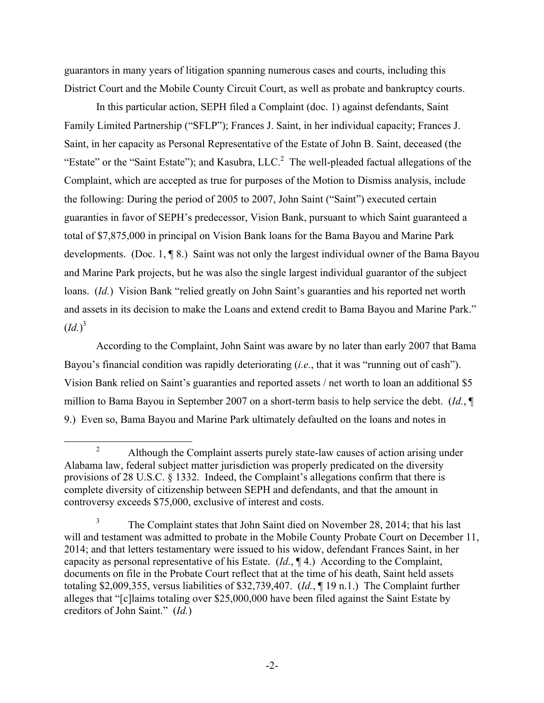guarantors in many years of litigation spanning numerous cases and courts, including this District Court and the Mobile County Circuit Court, as well as probate and bankruptcy courts.

In this particular action, SEPH filed a Complaint (doc. 1) against defendants, Saint Family Limited Partnership ("SFLP"); Frances J. Saint, in her individual capacity; Frances J. Saint, in her capacity as Personal Representative of the Estate of John B. Saint, deceased (the "Estate" or the "Saint Estate"); and Kasubra,  $LLC$ <sup>2</sup>. The well-pleaded factual allegations of the Complaint, which are accepted as true for purposes of the Motion to Dismiss analysis, include the following: During the period of 2005 to 2007, John Saint ("Saint") executed certain guaranties in favor of SEPH's predecessor, Vision Bank, pursuant to which Saint guaranteed a total of \$7,875,000 in principal on Vision Bank loans for the Bama Bayou and Marine Park developments. (Doc. 1, ¶ 8.) Saint was not only the largest individual owner of the Bama Bayou and Marine Park projects, but he was also the single largest individual guarantor of the subject loans. *(Id.)* Vision Bank "relied greatly on John Saint's guaranties and his reported net worth and assets in its decision to make the Loans and extend credit to Bama Bayou and Marine Park."  $(Id.)^3$ 

According to the Complaint, John Saint was aware by no later than early 2007 that Bama Bayou's financial condition was rapidly deteriorating (*i.e.*, that it was "running out of cash"). Vision Bank relied on Saint's guaranties and reported assets / net worth to loan an additional \$5 million to Bama Bayou in September 2007 on a short-term basis to help service the debt. (*Id.*, ¶ 9.) Even so, Bama Bayou and Marine Park ultimately defaulted on the loans and notes in

<sup>&</sup>lt;sup>2</sup> Although the Complaint asserts purely state-law causes of action arising under Alabama law, federal subject matter jurisdiction was properly predicated on the diversity provisions of 28 U.S.C. § 1332. Indeed, the Complaint's allegations confirm that there is complete diversity of citizenship between SEPH and defendants, and that the amount in controversy exceeds \$75,000, exclusive of interest and costs.

<sup>&</sup>lt;sup>3</sup> The Complaint states that John Saint died on November 28, 2014; that his last will and testament was admitted to probate in the Mobile County Probate Court on December 11, 2014; and that letters testamentary were issued to his widow, defendant Frances Saint, in her capacity as personal representative of his Estate. (*Id.*, ¶ 4.) According to the Complaint, documents on file in the Probate Court reflect that at the time of his death, Saint held assets totaling \$2,009,355, versus liabilities of \$32,739,407. (*Id.*, ¶ 19 n.1.) The Complaint further alleges that "[c]laims totaling over \$25,000,000 have been filed against the Saint Estate by creditors of John Saint." (*Id.*)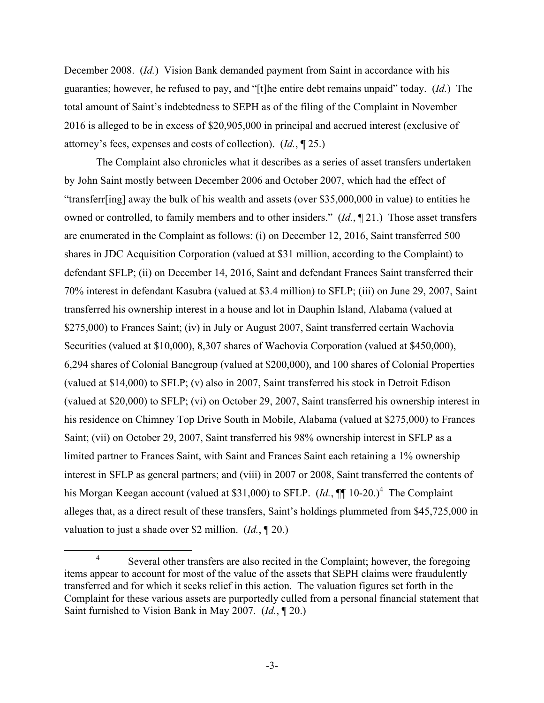December 2008. (*Id.*) Vision Bank demanded payment from Saint in accordance with his guaranties; however, he refused to pay, and "[t]he entire debt remains unpaid" today. (*Id.*) The total amount of Saint's indebtedness to SEPH as of the filing of the Complaint in November 2016 is alleged to be in excess of \$20,905,000 in principal and accrued interest (exclusive of attorney's fees, expenses and costs of collection). (*Id.*, ¶ 25.)

The Complaint also chronicles what it describes as a series of asset transfers undertaken by John Saint mostly between December 2006 and October 2007, which had the effect of "transferr[ing] away the bulk of his wealth and assets (over \$35,000,000 in value) to entities he owned or controlled, to family members and to other insiders." (*Id.*, ¶ 21.) Those asset transfers are enumerated in the Complaint as follows: (i) on December 12, 2016, Saint transferred 500 shares in JDC Acquisition Corporation (valued at \$31 million, according to the Complaint) to defendant SFLP; (ii) on December 14, 2016, Saint and defendant Frances Saint transferred their 70% interest in defendant Kasubra (valued at \$3.4 million) to SFLP; (iii) on June 29, 2007, Saint transferred his ownership interest in a house and lot in Dauphin Island, Alabama (valued at \$275,000) to Frances Saint; (iv) in July or August 2007, Saint transferred certain Wachovia Securities (valued at \$10,000), 8,307 shares of Wachovia Corporation (valued at \$450,000), 6,294 shares of Colonial Bancgroup (valued at \$200,000), and 100 shares of Colonial Properties (valued at \$14,000) to SFLP; (v) also in 2007, Saint transferred his stock in Detroit Edison (valued at \$20,000) to SFLP; (vi) on October 29, 2007, Saint transferred his ownership interest in his residence on Chimney Top Drive South in Mobile, Alabama (valued at \$275,000) to Frances Saint; (vii) on October 29, 2007, Saint transferred his 98% ownership interest in SFLP as a limited partner to Frances Saint, with Saint and Frances Saint each retaining a 1% ownership interest in SFLP as general partners; and (viii) in 2007 or 2008, Saint transferred the contents of his Morgan Keegan account (valued at \$31,000) to SFLP. (*Id.*,  $\P\P$  10-20.)<sup>4</sup> The Complaint alleges that, as a direct result of these transfers, Saint's holdings plummeted from \$45,725,000 in valuation to just a shade over \$2 million. (*Id.*, ¶ 20.)

<sup>&</sup>lt;sup>4</sup> Several other transfers are also recited in the Complaint; however, the foregoing items appear to account for most of the value of the assets that SEPH claims were fraudulently transferred and for which it seeks relief in this action. The valuation figures set forth in the Complaint for these various assets are purportedly culled from a personal financial statement that Saint furnished to Vision Bank in May 2007. (*Id.*, ¶ 20.)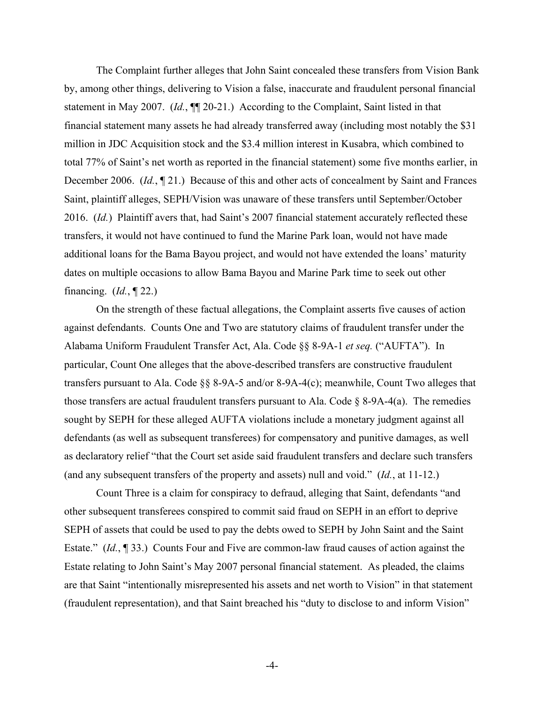The Complaint further alleges that John Saint concealed these transfers from Vision Bank by, among other things, delivering to Vision a false, inaccurate and fraudulent personal financial statement in May 2007. (*Id.*, ¶¶ 20-21.) According to the Complaint, Saint listed in that financial statement many assets he had already transferred away (including most notably the \$31 million in JDC Acquisition stock and the \$3.4 million interest in Kusabra, which combined to total 77% of Saint's net worth as reported in the financial statement) some five months earlier, in December 2006. (*Id.*, ¶ 21.) Because of this and other acts of concealment by Saint and Frances Saint, plaintiff alleges, SEPH/Vision was unaware of these transfers until September/October 2016. (*Id.*) Plaintiff avers that, had Saint's 2007 financial statement accurately reflected these transfers, it would not have continued to fund the Marine Park loan, would not have made additional loans for the Bama Bayou project, and would not have extended the loans' maturity dates on multiple occasions to allow Bama Bayou and Marine Park time to seek out other financing. (*Id.*, ¶ 22.)

On the strength of these factual allegations, the Complaint asserts five causes of action against defendants. Counts One and Two are statutory claims of fraudulent transfer under the Alabama Uniform Fraudulent Transfer Act, Ala. Code §§ 8-9A-1 *et seq.* ("AUFTA"). In particular, Count One alleges that the above-described transfers are constructive fraudulent transfers pursuant to Ala. Code §§ 8-9A-5 and/or 8-9A-4(c); meanwhile, Count Two alleges that those transfers are actual fraudulent transfers pursuant to Ala. Code  $\S$  8-9A-4(a). The remedies sought by SEPH for these alleged AUFTA violations include a monetary judgment against all defendants (as well as subsequent transferees) for compensatory and punitive damages, as well as declaratory relief "that the Court set aside said fraudulent transfers and declare such transfers (and any subsequent transfers of the property and assets) null and void." (*Id.*, at 11-12.)

Count Three is a claim for conspiracy to defraud, alleging that Saint, defendants "and other subsequent transferees conspired to commit said fraud on SEPH in an effort to deprive SEPH of assets that could be used to pay the debts owed to SEPH by John Saint and the Saint Estate." (*Id.*, ¶ 33.) Counts Four and Five are common-law fraud causes of action against the Estate relating to John Saint's May 2007 personal financial statement. As pleaded, the claims are that Saint "intentionally misrepresented his assets and net worth to Vision" in that statement (fraudulent representation), and that Saint breached his "duty to disclose to and inform Vision"

-4-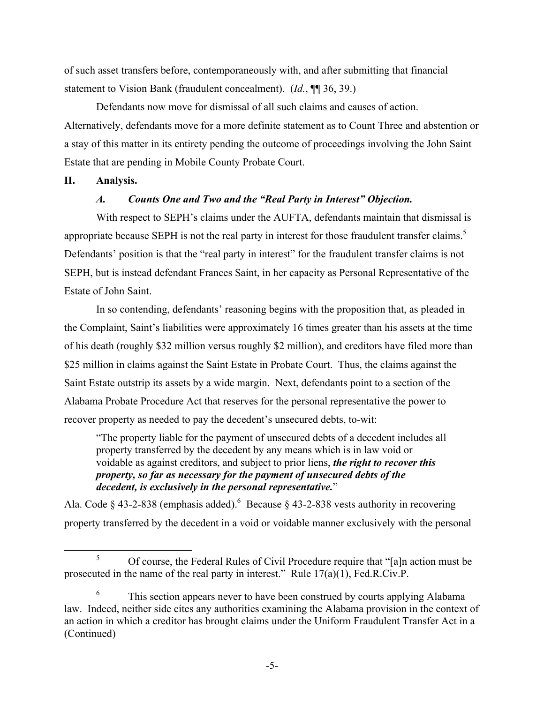of such asset transfers before, contemporaneously with, and after submitting that financial statement to Vision Bank (fraudulent concealment). (*Id.*, ¶¶ 36, 39.)

Defendants now move for dismissal of all such claims and causes of action. Alternatively, defendants move for a more definite statement as to Count Three and abstention or a stay of this matter in its entirety pending the outcome of proceedings involving the John Saint Estate that are pending in Mobile County Probate Court.

### **II. Analysis.**

# *A. Counts One and Two and the "Real Party in Interest" Objection.*

With respect to SEPH's claims under the AUFTA, defendants maintain that dismissal is appropriate because SEPH is not the real party in interest for those fraudulent transfer claims.<sup>5</sup> Defendants' position is that the "real party in interest" for the fraudulent transfer claims is not SEPH, but is instead defendant Frances Saint, in her capacity as Personal Representative of the Estate of John Saint.

In so contending, defendants' reasoning begins with the proposition that, as pleaded in the Complaint, Saint's liabilities were approximately 16 times greater than his assets at the time of his death (roughly \$32 million versus roughly \$2 million), and creditors have filed more than \$25 million in claims against the Saint Estate in Probate Court. Thus, the claims against the Saint Estate outstrip its assets by a wide margin. Next, defendants point to a section of the Alabama Probate Procedure Act that reserves for the personal representative the power to recover property as needed to pay the decedent's unsecured debts, to-wit:

"The property liable for the payment of unsecured debts of a decedent includes all property transferred by the decedent by any means which is in law void or voidable as against creditors, and subject to prior liens, *the right to recover this property, so far as necessary for the payment of unsecured debts of the decedent, is exclusively in the personal representative.*"

Ala. Code § 43-2-838 (emphasis added). <sup>6</sup> Because § 43-2-838 vests authority in recovering property transferred by the decedent in a void or voidable manner exclusively with the personal

 <sup>5</sup> Of course, the Federal Rules of Civil Procedure require that "[a]n action must be prosecuted in the name of the real party in interest." Rule 17(a)(1), Fed.R.Civ.P.

 $6\,$  This section appears never to have been construed by courts applying Alabama law. Indeed, neither side cites any authorities examining the Alabama provision in the context of an action in which a creditor has brought claims under the Uniform Fraudulent Transfer Act in a (Continued)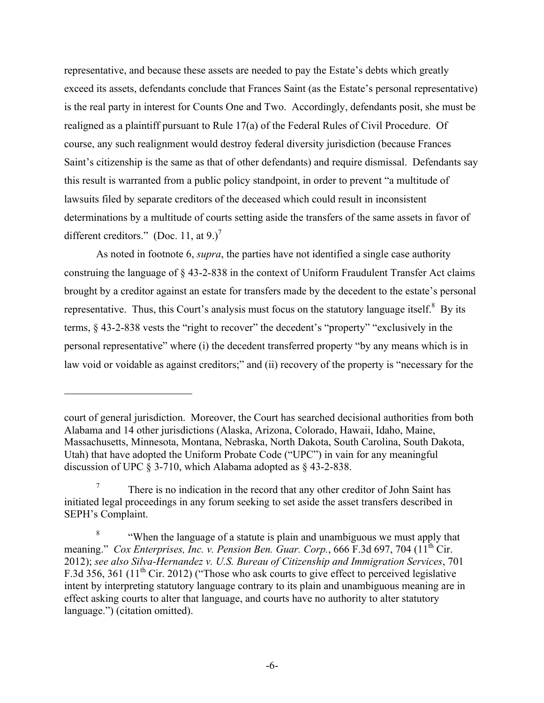representative, and because these assets are needed to pay the Estate's debts which greatly exceed its assets, defendants conclude that Frances Saint (as the Estate's personal representative) is the real party in interest for Counts One and Two. Accordingly, defendants posit, she must be realigned as a plaintiff pursuant to Rule 17(a) of the Federal Rules of Civil Procedure. Of course, any such realignment would destroy federal diversity jurisdiction (because Frances Saint's citizenship is the same as that of other defendants) and require dismissal. Defendants say this result is warranted from a public policy standpoint, in order to prevent "a multitude of lawsuits filed by separate creditors of the deceased which could result in inconsistent determinations by a multitude of courts setting aside the transfers of the same assets in favor of different creditors." (Doc. 11, at 9.)<sup>7</sup>

As noted in footnote 6, *supra*, the parties have not identified a single case authority construing the language of § 43-2-838 in the context of Uniform Fraudulent Transfer Act claims brought by a creditor against an estate for transfers made by the decedent to the estate's personal representative. Thus, this Court's analysis must focus on the statutory language itself.<sup>8</sup> By its terms, § 43-2-838 vests the "right to recover" the decedent's "property" "exclusively in the personal representative" where (i) the decedent transferred property "by any means which is in law void or voidable as against creditors;" and (ii) recovery of the property is "necessary for the

1

court of general jurisdiction. Moreover, the Court has searched decisional authorities from both Alabama and 14 other jurisdictions (Alaska, Arizona, Colorado, Hawaii, Idaho, Maine, Massachusetts, Minnesota, Montana, Nebraska, North Dakota, South Carolina, South Dakota, Utah) that have adopted the Uniform Probate Code ("UPC") in vain for any meaningful discussion of UPC § 3-710, which Alabama adopted as § 43-2-838.

There is no indication in the record that any other creditor of John Saint has initiated legal proceedings in any forum seeking to set aside the asset transfers described in SEPH's Complaint.

<sup>&</sup>lt;sup>8</sup> "When the language of a statute is plain and unambiguous we must apply that meaning." *Cox Enterprises, Inc. v. Pension Ben. Guar. Corp.*, 666 F.3d 697, 704 (11<sup>th</sup> Cir. 2012); *see also Silva-Hernandez v. U.S. Bureau of Citizenship and Immigration Services*, 701 F.3d 356, 361 ( $11<sup>th</sup>$  Cir. 2012) ("Those who ask courts to give effect to perceived legislative intent by interpreting statutory language contrary to its plain and unambiguous meaning are in effect asking courts to alter that language, and courts have no authority to alter statutory language.") (citation omitted).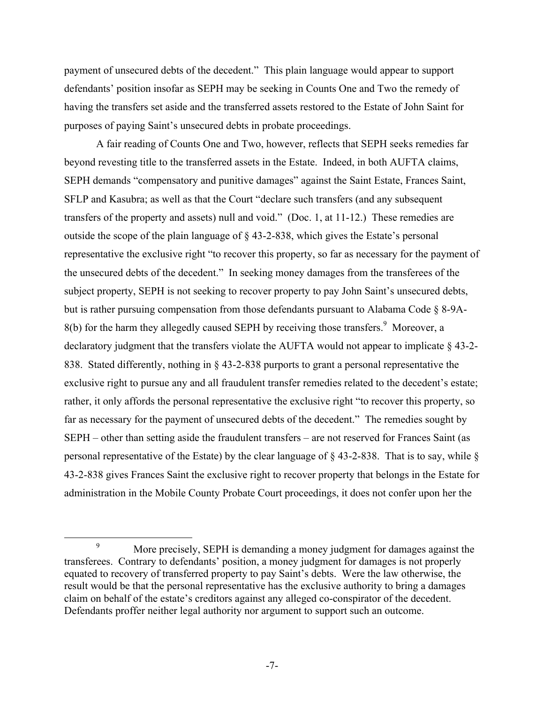payment of unsecured debts of the decedent." This plain language would appear to support defendants' position insofar as SEPH may be seeking in Counts One and Two the remedy of having the transfers set aside and the transferred assets restored to the Estate of John Saint for purposes of paying Saint's unsecured debts in probate proceedings.

A fair reading of Counts One and Two, however, reflects that SEPH seeks remedies far beyond revesting title to the transferred assets in the Estate. Indeed, in both AUFTA claims, SEPH demands "compensatory and punitive damages" against the Saint Estate, Frances Saint, SFLP and Kasubra; as well as that the Court "declare such transfers (and any subsequent transfers of the property and assets) null and void." (Doc. 1, at 11-12.) These remedies are outside the scope of the plain language of § 43-2-838, which gives the Estate's personal representative the exclusive right "to recover this property, so far as necessary for the payment of the unsecured debts of the decedent." In seeking money damages from the transferees of the subject property, SEPH is not seeking to recover property to pay John Saint's unsecured debts, but is rather pursuing compensation from those defendants pursuant to Alabama Code § 8-9A- $8(b)$  for the harm they allegedly caused SEPH by receiving those transfers.<sup>9</sup> Moreover, a declaratory judgment that the transfers violate the AUFTA would not appear to implicate § 43-2- 838. Stated differently, nothing in § 43-2-838 purports to grant a personal representative the exclusive right to pursue any and all fraudulent transfer remedies related to the decedent's estate; rather, it only affords the personal representative the exclusive right "to recover this property, so far as necessary for the payment of unsecured debts of the decedent." The remedies sought by SEPH – other than setting aside the fraudulent transfers – are not reserved for Frances Saint (as personal representative of the Estate) by the clear language of § 43-2-838. That is to say, while § 43-2-838 gives Frances Saint the exclusive right to recover property that belongs in the Estate for administration in the Mobile County Probate Court proceedings, it does not confer upon her the

 <sup>9</sup> More precisely, SEPH is demanding a money judgment for damages against the transferees. Contrary to defendants' position, a money judgment for damages is not properly equated to recovery of transferred property to pay Saint's debts. Were the law otherwise, the result would be that the personal representative has the exclusive authority to bring a damages claim on behalf of the estate's creditors against any alleged co-conspirator of the decedent. Defendants proffer neither legal authority nor argument to support such an outcome.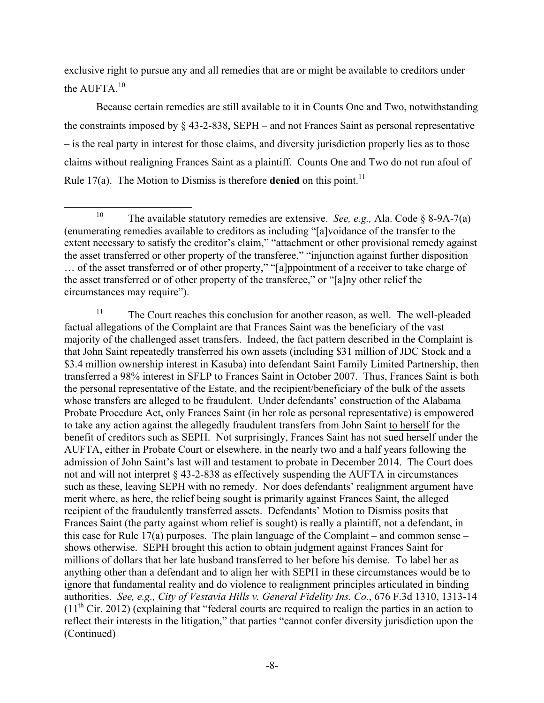exclusive right to pursue any and all remedies that are or might be available to creditors under the AUFTA.<sup>10</sup>

Because certain remedies are still available to it in Counts One and Two, notwithstanding the constraints imposed by § 43-2-838, SEPH – and not Frances Saint as personal representative – is the real party in interest for those claims, and diversity jurisdiction properly lies as to those claims without realigning Frances Saint as a plaintiff. Counts One and Two do not run afoul of Rule 17(a). The Motion to Dismiss is therefore **denied** on this point.<sup>11</sup>

 <sup>10</sup> The available statutory remedies are extensive. *See, e.g.,* Ala. Code § 8-9A-7(a) (enumerating remedies available to creditors as including "[a]voidance of the transfer to the extent necessary to satisfy the creditor's claim," "attachment or other provisional remedy against the asset transferred or other property of the transferee," "injunction against further disposition … of the asset transferred or of other property," "[a]ppointment of a receiver to take charge of the asset transferred or of other property of the transferee," or "[a]ny other relief the circumstances may require").

 $11$  The Court reaches this conclusion for another reason, as well. The well-pleaded factual allegations of the Complaint are that Frances Saint was the beneficiary of the vast majority of the challenged asset transfers. Indeed, the fact pattern described in the Complaint is that John Saint repeatedly transferred his own assets (including \$31 million of JDC Stock and a \$3.4 million ownership interest in Kasuba) into defendant Saint Family Limited Partnership, then transferred a 98% interest in SFLP to Frances Saint in October 2007. Thus, Frances Saint is both the personal representative of the Estate, and the recipient/beneficiary of the bulk of the assets whose transfers are alleged to be fraudulent. Under defendants' construction of the Alabama Probate Procedure Act, only Frances Saint (in her role as personal representative) is empowered to take any action against the allegedly fraudulent transfers from John Saint to herself for the benefit of creditors such as SEPH. Not surprisingly, Frances Saint has not sued herself under the AUFTA, either in Probate Court or elsewhere, in the nearly two and a half years following the admission of John Saint's last will and testament to probate in December 2014. The Court does not and will not interpret § 43-2-838 as effectively suspending the AUFTA in circumstances such as these, leaving SEPH with no remedy. Nor does defendants' realignment argument have merit where, as here, the relief being sought is primarily against Frances Saint, the alleged recipient of the fraudulently transferred assets. Defendants' Motion to Dismiss posits that Frances Saint (the party against whom relief is sought) is really a plaintiff, not a defendant, in this case for Rule 17(a) purposes. The plain language of the Complaint – and common sense – shows otherwise. SEPH brought this action to obtain judgment against Frances Saint for millions of dollars that her late husband transferred to her before his demise. To label her as anything other than a defendant and to align her with SEPH in these circumstances would be to ignore that fundamental reality and do violence to realignment principles articulated in binding authorities. *See, e.g., City of Vestavia Hills v. General Fidelity Ins. Co.*, 676 F.3d 1310, 1313-14  $(11<sup>th</sup> Cir. 2012)$  (explaining that "federal courts are required to realign the parties in an action to reflect their interests in the litigation," that parties "cannot confer diversity jurisdiction upon the (Continued)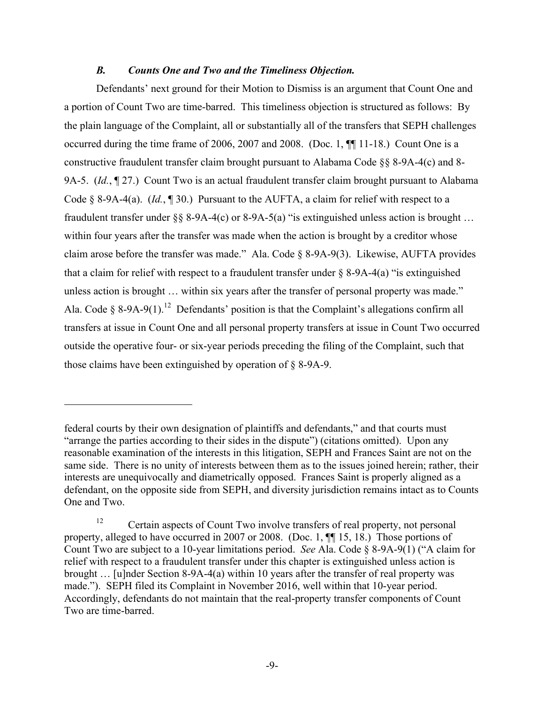### *B. Counts One and Two and the Timeliness Objection.*

Defendants' next ground for their Motion to Dismiss is an argument that Count One and a portion of Count Two are time-barred. This timeliness objection is structured as follows: By the plain language of the Complaint, all or substantially all of the transfers that SEPH challenges occurred during the time frame of 2006, 2007 and 2008. (Doc. 1, ¶¶ 11-18.) Count One is a constructive fraudulent transfer claim brought pursuant to Alabama Code §§ 8-9A-4(c) and 8- 9A-5. *(Id.*, 127.) Count Two is an actual fraudulent transfer claim brought pursuant to Alabama Code § 8-9A-4(a). (*Id.*, ¶ 30.) Pursuant to the AUFTA, a claim for relief with respect to a fraudulent transfer under  $\S$ § 8-9A-4(c) or 8-9A-5(a) "is extinguished unless action is brought ... within four years after the transfer was made when the action is brought by a creditor whose claim arose before the transfer was made." Ala. Code § 8-9A-9(3). Likewise, AUFTA provides that a claim for relief with respect to a fraudulent transfer under  $\S$  8-9A-4(a) "is extinguished unless action is brought … within six years after the transfer of personal property was made." Ala. Code § 8-9A-9(1).<sup>12</sup> Defendants' position is that the Complaint's allegations confirm all transfers at issue in Count One and all personal property transfers at issue in Count Two occurred outside the operative four- or six-year periods preceding the filing of the Complaint, such that those claims have been extinguished by operation of § 8-9A-9.

1

federal courts by their own designation of plaintiffs and defendants," and that courts must "arrange the parties according to their sides in the dispute") (citations omitted). Upon any reasonable examination of the interests in this litigation, SEPH and Frances Saint are not on the same side. There is no unity of interests between them as to the issues joined herein; rather, their interests are unequivocally and diametrically opposed. Frances Saint is properly aligned as a defendant, on the opposite side from SEPH, and diversity jurisdiction remains intact as to Counts One and Two.

<sup>&</sup>lt;sup>12</sup> Certain aspects of Count Two involve transfers of real property, not personal property, alleged to have occurred in 2007 or 2008. (Doc. 1, ¶¶ 15, 18.) Those portions of Count Two are subject to a 10-year limitations period. *See* Ala. Code § 8-9A-9(1) ("A claim for relief with respect to a fraudulent transfer under this chapter is extinguished unless action is brought … [u]nder Section 8-9A-4(a) within 10 years after the transfer of real property was made."). SEPH filed its Complaint in November 2016, well within that 10-year period. Accordingly, defendants do not maintain that the real-property transfer components of Count Two are time-barred.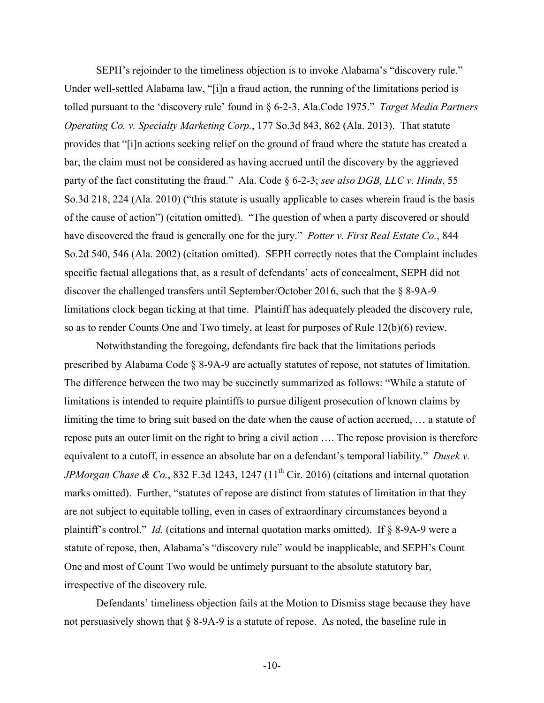SEPH's rejoinder to the timeliness objection is to invoke Alabama's "discovery rule." Under well-settled Alabama law, "[i]n a fraud action, the running of the limitations period is tolled pursuant to the 'discovery rule' found in § 6-2-3, Ala.Code 1975." *Target Media Partners Operating Co. v. Specialty Marketing Corp.*, 177 So.3d 843, 862 (Ala. 2013). That statute provides that "[i]n actions seeking relief on the ground of fraud where the statute has created a bar, the claim must not be considered as having accrued until the discovery by the aggrieved party of the fact constituting the fraud." Ala. Code § 6-2-3; *see also DGB, LLC v. Hinds*, 55 So.3d 218, 224 (Ala. 2010) ("this statute is usually applicable to cases wherein fraud is the basis of the cause of action") (citation omitted). "The question of when a party discovered or should have discovered the fraud is generally one for the jury." *Potter v. First Real Estate Co.*, 844 So.2d 540, 546 (Ala. 2002) (citation omitted). SEPH correctly notes that the Complaint includes specific factual allegations that, as a result of defendants' acts of concealment, SEPH did not discover the challenged transfers until September/October 2016, such that the § 8-9A-9 limitations clock began ticking at that time. Plaintiff has adequately pleaded the discovery rule, so as to render Counts One and Two timely, at least for purposes of Rule 12(b)(6) review.

Notwithstanding the foregoing, defendants fire back that the limitations periods prescribed by Alabama Code § 8-9A-9 are actually statutes of repose, not statutes of limitation. The difference between the two may be succinctly summarized as follows: "While a statute of limitations is intended to require plaintiffs to pursue diligent prosecution of known claims by limiting the time to bring suit based on the date when the cause of action accrued, … a statute of repose puts an outer limit on the right to bring a civil action …. The repose provision is therefore equivalent to a cutoff, in essence an absolute bar on a defendant's temporal liability." *Dusek v. JPMorgan Chase & Co.*, 832 F.3d 1243, 1247 (11<sup>th</sup> Cir. 2016) (citations and internal quotation marks omitted). Further, "statutes of repose are distinct from statutes of limitation in that they are not subject to equitable tolling, even in cases of extraordinary circumstances beyond a plaintiff's control." *Id.* (citations and internal quotation marks omitted). If § 8-9A-9 were a statute of repose, then, Alabama's "discovery rule" would be inapplicable, and SEPH's Count One and most of Count Two would be untimely pursuant to the absolute statutory bar, irrespective of the discovery rule.

Defendants' timeliness objection fails at the Motion to Dismiss stage because they have not persuasively shown that § 8-9A-9 is a statute of repose. As noted, the baseline rule in

-10-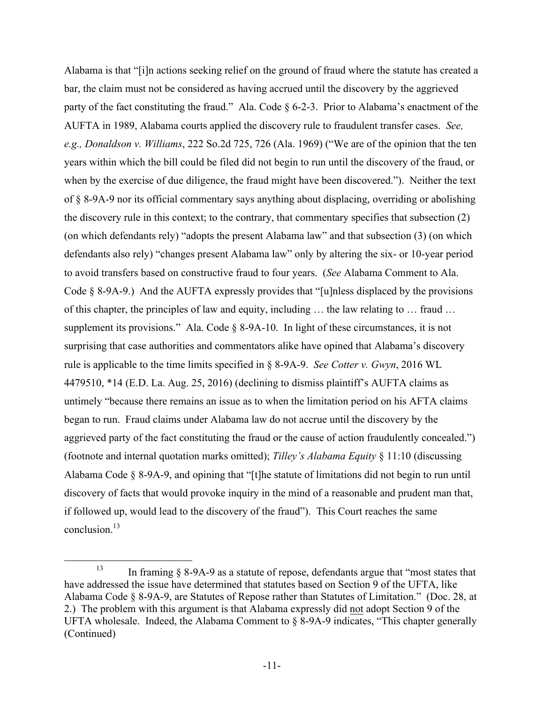Alabama is that "[i]n actions seeking relief on the ground of fraud where the statute has created a bar, the claim must not be considered as having accrued until the discovery by the aggrieved party of the fact constituting the fraud." Ala. Code § 6-2-3. Prior to Alabama's enactment of the AUFTA in 1989, Alabama courts applied the discovery rule to fraudulent transfer cases. *See, e.g., Donaldson v. Williams*, 222 So.2d 725, 726 (Ala. 1969) ("We are of the opinion that the ten years within which the bill could be filed did not begin to run until the discovery of the fraud, or when by the exercise of due diligence, the fraud might have been discovered."). Neither the text of § 8-9A-9 nor its official commentary says anything about displacing, overriding or abolishing the discovery rule in this context; to the contrary, that commentary specifies that subsection (2) (on which defendants rely) "adopts the present Alabama law" and that subsection (3) (on which defendants also rely) "changes present Alabama law" only by altering the six- or 10-year period to avoid transfers based on constructive fraud to four years. (*See* Alabama Comment to Ala. Code § 8-9A-9.) And the AUFTA expressly provides that "[u]nless displaced by the provisions of this chapter, the principles of law and equity, including … the law relating to … fraud … supplement its provisions." Ala. Code § 8-9A-10. In light of these circumstances, it is not surprising that case authorities and commentators alike have opined that Alabama's discovery rule is applicable to the time limits specified in § 8-9A-9. *See Cotter v. Gwyn*, 2016 WL 4479510, \*14 (E.D. La. Aug. 25, 2016) (declining to dismiss plaintiff's AUFTA claims as untimely "because there remains an issue as to when the limitation period on his AFTA claims began to run. Fraud claims under Alabama law do not accrue until the discovery by the aggrieved party of the fact constituting the fraud or the cause of action fraudulently concealed.") (footnote and internal quotation marks omitted); *Tilley's Alabama Equity* § 11:10 (discussing Alabama Code § 8-9A-9, and opining that "[t]he statute of limitations did not begin to run until discovery of facts that would provoke inquiry in the mind of a reasonable and prudent man that, if followed up, would lead to the discovery of the fraud"). This Court reaches the same conclusion $13$ 

<sup>&</sup>lt;sup>13</sup> In framing  $\S$  8-9A-9 as a statute of repose, defendants argue that "most states that" have addressed the issue have determined that statutes based on Section 9 of the UFTA, like Alabama Code § 8-9A-9, are Statutes of Repose rather than Statutes of Limitation." (Doc. 28, at 2.) The problem with this argument is that Alabama expressly did not adopt Section 9 of the UFTA wholesale. Indeed, the Alabama Comment to § 8-9A-9 indicates, "This chapter generally (Continued)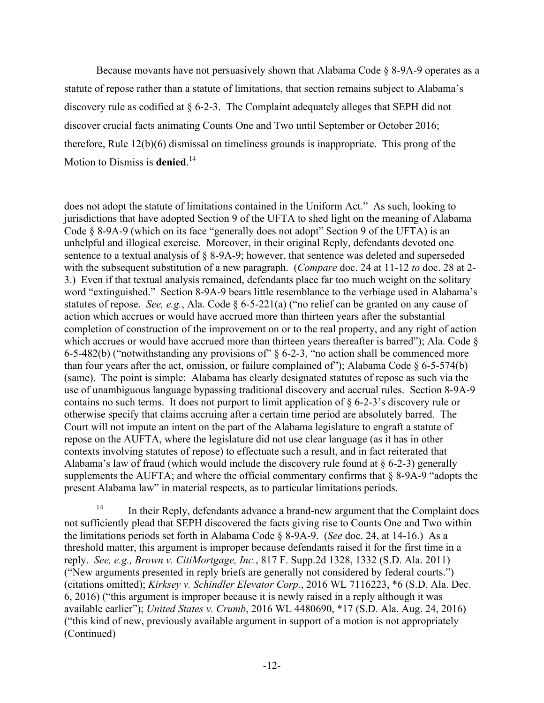Because movants have not persuasively shown that Alabama Code § 8-9A-9 operates as a statute of repose rather than a statute of limitations, that section remains subject to Alabama's discovery rule as codified at § 6-2-3. The Complaint adequately alleges that SEPH did not discover crucial facts animating Counts One and Two until September or October 2016; therefore, Rule 12(b)(6) dismissal on timeliness grounds is inappropriate. This prong of the Motion to Dismiss is **denied**. 14

<u>.</u>

<sup>14</sup> In their Reply, defendants advance a brand-new argument that the Complaint does not sufficiently plead that SEPH discovered the facts giving rise to Counts One and Two within the limitations periods set forth in Alabama Code § 8-9A-9. (*See* doc. 24, at 14-16.) As a threshold matter, this argument is improper because defendants raised it for the first time in a reply. *See, e.g., Brown v. CitiMortgage, Inc.*, 817 F. Supp.2d 1328, 1332 (S.D. Ala. 2011) ("New arguments presented in reply briefs are generally not considered by federal courts.") (citations omitted); *Kirksey v. Schindler Elevator Corp.*, 2016 WL 7116223, \*6 (S.D. Ala. Dec. 6, 2016) ("this argument is improper because it is newly raised in a reply although it was available earlier"); *United States v. Crumb*, 2016 WL 4480690, \*17 (S.D. Ala. Aug. 24, 2016) ("this kind of new, previously available argument in support of a motion is not appropriately (Continued)

does not adopt the statute of limitations contained in the Uniform Act." As such, looking to jurisdictions that have adopted Section 9 of the UFTA to shed light on the meaning of Alabama Code § 8-9A-9 (which on its face "generally does not adopt" Section 9 of the UFTA) is an unhelpful and illogical exercise. Moreover, in their original Reply, defendants devoted one sentence to a textual analysis of § 8-9A-9; however, that sentence was deleted and superseded with the subsequent substitution of a new paragraph. (*Compare* doc. 24 at 11-12 *to* doc. 28 at 2- 3.) Even if that textual analysis remained, defendants place far too much weight on the solitary word "extinguished." Section 8-9A-9 bears little resemblance to the verbiage used in Alabama's statutes of repose. *See, e.g.*, Ala. Code § 6-5-221(a) ("no relief can be granted on any cause of action which accrues or would have accrued more than thirteen years after the substantial completion of construction of the improvement on or to the real property, and any right of action which accrues or would have accrued more than thirteen years thereafter is barred"); Ala. Code § 6-5-482(b) ("notwithstanding any provisions of" § 6-2-3, "no action shall be commenced more than four years after the act, omission, or failure complained of"); Alabama Code § 6-5-574(b) (same). The point is simple: Alabama has clearly designated statutes of repose as such via the use of unambiguous language bypassing traditional discovery and accrual rules. Section 8-9A-9 contains no such terms. It does not purport to limit application of § 6-2-3's discovery rule or otherwise specify that claims accruing after a certain time period are absolutely barred. The Court will not impute an intent on the part of the Alabama legislature to engraft a statute of repose on the AUFTA, where the legislature did not use clear language (as it has in other contexts involving statutes of repose) to effectuate such a result, and in fact reiterated that Alabama's law of fraud (which would include the discovery rule found at  $\S 6$ -2-3) generally supplements the AUFTA; and where the official commentary confirms that  $\S$  8-9A-9 "adopts the present Alabama law" in material respects, as to particular limitations periods.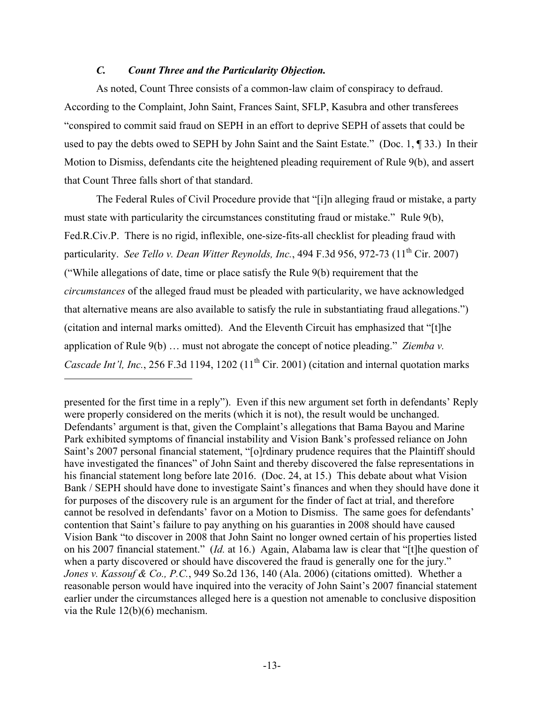## *C. Count Three and the Particularity Objection.*

1

As noted, Count Three consists of a common-law claim of conspiracy to defraud. According to the Complaint, John Saint, Frances Saint, SFLP, Kasubra and other transferees "conspired to commit said fraud on SEPH in an effort to deprive SEPH of assets that could be used to pay the debts owed to SEPH by John Saint and the Saint Estate." (Doc. 1, ¶ 33.) In their Motion to Dismiss, defendants cite the heightened pleading requirement of Rule 9(b), and assert that Count Three falls short of that standard.

The Federal Rules of Civil Procedure provide that "[i]n alleging fraud or mistake, a party must state with particularity the circumstances constituting fraud or mistake." Rule 9(b), Fed.R.Civ.P. There is no rigid, inflexible, one-size-fits-all checklist for pleading fraud with particularity. *See Tello v. Dean Witter Reynolds, Inc.*, 494 F.3d 956, 972-73 (11<sup>th</sup> Cir. 2007) ("While allegations of date, time or place satisfy the Rule 9(b) requirement that the *circumstances* of the alleged fraud must be pleaded with particularity, we have acknowledged that alternative means are also available to satisfy the rule in substantiating fraud allegations.") (citation and internal marks omitted). And the Eleventh Circuit has emphasized that "[t]he application of Rule 9(b) … must not abrogate the concept of notice pleading." *Ziemba v. Cascade Int'l, Inc.*, 256 F.3d 1194, 1202 (11<sup>th</sup> Cir. 2001) (citation and internal quotation marks

presented for the first time in a reply"). Even if this new argument set forth in defendants' Reply were properly considered on the merits (which it is not), the result would be unchanged. Defendants' argument is that, given the Complaint's allegations that Bama Bayou and Marine Park exhibited symptoms of financial instability and Vision Bank's professed reliance on John Saint's 2007 personal financial statement, "[o]rdinary prudence requires that the Plaintiff should have investigated the finances" of John Saint and thereby discovered the false representations in his financial statement long before late 2016. (Doc. 24, at 15.) This debate about what Vision Bank / SEPH should have done to investigate Saint's finances and when they should have done it for purposes of the discovery rule is an argument for the finder of fact at trial, and therefore cannot be resolved in defendants' favor on a Motion to Dismiss. The same goes for defendants' contention that Saint's failure to pay anything on his guaranties in 2008 should have caused Vision Bank "to discover in 2008 that John Saint no longer owned certain of his properties listed on his 2007 financial statement." (*Id.* at 16.) Again, Alabama law is clear that "[t]he question of when a party discovered or should have discovered the fraud is generally one for the jury." *Jones v. Kassouf & Co., P.C.*, 949 So.2d 136, 140 (Ala. 2006) (citations omitted). Whether a reasonable person would have inquired into the veracity of John Saint's 2007 financial statement earlier under the circumstances alleged here is a question not amenable to conclusive disposition via the Rule 12(b)(6) mechanism.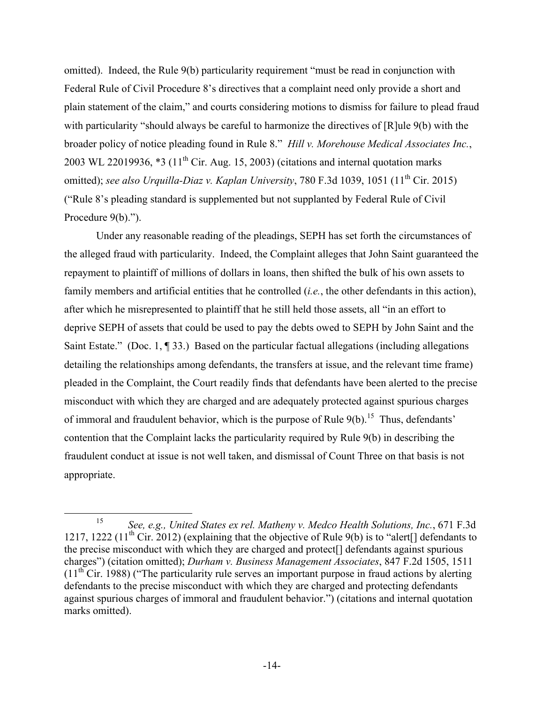omitted). Indeed, the Rule 9(b) particularity requirement "must be read in conjunction with Federal Rule of Civil Procedure 8's directives that a complaint need only provide a short and plain statement of the claim," and courts considering motions to dismiss for failure to plead fraud with particularity "should always be careful to harmonize the directives of [R]ule 9(b) with the broader policy of notice pleading found in Rule 8." *Hill v. Morehouse Medical Associates Inc.*, 2003 WL 22019936,  $*3$  (11<sup>th</sup> Cir. Aug. 15, 2003) (citations and internal quotation marks omitted); *see also Urquilla-Diaz v. Kaplan University*, 780 F.3d 1039, 1051 (11<sup>th</sup> Cir. 2015) ("Rule 8's pleading standard is supplemented but not supplanted by Federal Rule of Civil Procedure 9(b).").

Under any reasonable reading of the pleadings, SEPH has set forth the circumstances of the alleged fraud with particularity. Indeed, the Complaint alleges that John Saint guaranteed the repayment to plaintiff of millions of dollars in loans, then shifted the bulk of his own assets to family members and artificial entities that he controlled (*i.e.*, the other defendants in this action), after which he misrepresented to plaintiff that he still held those assets, all "in an effort to deprive SEPH of assets that could be used to pay the debts owed to SEPH by John Saint and the Saint Estate." (Doc. 1, ¶ 33.) Based on the particular factual allegations (including allegations detailing the relationships among defendants, the transfers at issue, and the relevant time frame) pleaded in the Complaint, the Court readily finds that defendants have been alerted to the precise misconduct with which they are charged and are adequately protected against spurious charges of immoral and fraudulent behavior, which is the purpose of Rule  $9(b)$ <sup>15</sup>. Thus, defendants' contention that the Complaint lacks the particularity required by Rule 9(b) in describing the fraudulent conduct at issue is not well taken, and dismissal of Count Three on that basis is not appropriate.

 <sup>15</sup> *See, e.g., United States ex rel. Matheny v. Medco Health Solutions, Inc.*, 671 F.3d 1217, 1222 (11<sup>th</sup> Cir. 2012) (explaining that the objective of Rule 9(b) is to "alert<sup>[]</sup> defendants to the precise misconduct with which they are charged and protect[] defendants against spurious charges") (citation omitted); *Durham v. Business Management Associates*, 847 F.2d 1505, 1511  $(11<sup>th</sup> Cir. 1988)$  ("The particularity rule serves an important purpose in fraud actions by alerting defendants to the precise misconduct with which they are charged and protecting defendants against spurious charges of immoral and fraudulent behavior.") (citations and internal quotation marks omitted).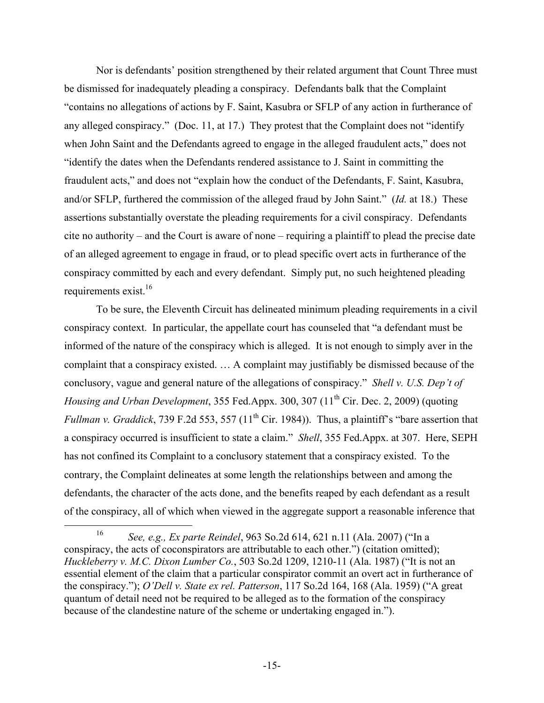Nor is defendants' position strengthened by their related argument that Count Three must be dismissed for inadequately pleading a conspiracy. Defendants balk that the Complaint "contains no allegations of actions by F. Saint, Kasubra or SFLP of any action in furtherance of any alleged conspiracy." (Doc. 11, at 17.) They protest that the Complaint does not "identify when John Saint and the Defendants agreed to engage in the alleged fraudulent acts," does not "identify the dates when the Defendants rendered assistance to J. Saint in committing the fraudulent acts," and does not "explain how the conduct of the Defendants, F. Saint, Kasubra, and/or SFLP, furthered the commission of the alleged fraud by John Saint." (*Id.* at 18.) These assertions substantially overstate the pleading requirements for a civil conspiracy. Defendants cite no authority – and the Court is aware of none – requiring a plaintiff to plead the precise date of an alleged agreement to engage in fraud, or to plead specific overt acts in furtherance of the conspiracy committed by each and every defendant. Simply put, no such heightened pleading requirements exist.<sup>16</sup>

To be sure, the Eleventh Circuit has delineated minimum pleading requirements in a civil conspiracy context. In particular, the appellate court has counseled that "a defendant must be informed of the nature of the conspiracy which is alleged. It is not enough to simply aver in the complaint that a conspiracy existed. … A complaint may justifiably be dismissed because of the conclusory, vague and general nature of the allegations of conspiracy." *Shell v. U.S. Dep't of Housing and Urban Development*, 355 Fed.Appx. 300, 307 (11<sup>th</sup> Cir. Dec. 2, 2009) (quoting *Fullman v. Graddick*, 739 F.2d 553, 557 ( $11<sup>th</sup>$  Cir. 1984)). Thus, a plaintiff's "bare assertion that a conspiracy occurred is insufficient to state a claim." *Shell*, 355 Fed.Appx. at 307. Here, SEPH has not confined its Complaint to a conclusory statement that a conspiracy existed. To the contrary, the Complaint delineates at some length the relationships between and among the defendants, the character of the acts done, and the benefits reaped by each defendant as a result of the conspiracy, all of which when viewed in the aggregate support a reasonable inference that

 <sup>16</sup> *See, e.g., Ex parte Reindel*, 963 So.2d 614, 621 n.11 (Ala. 2007) ("In a conspiracy, the acts of coconspirators are attributable to each other.") (citation omitted); *Huckleberry v. M.C. Dixon Lumber Co.*, 503 So.2d 1209, 1210-11 (Ala. 1987) ("It is not an essential element of the claim that a particular conspirator commit an overt act in furtherance of the conspiracy."); *O'Dell v. State ex rel. Patterson*, 117 So.2d 164, 168 (Ala. 1959) ("A great quantum of detail need not be required to be alleged as to the formation of the conspiracy because of the clandestine nature of the scheme or undertaking engaged in.").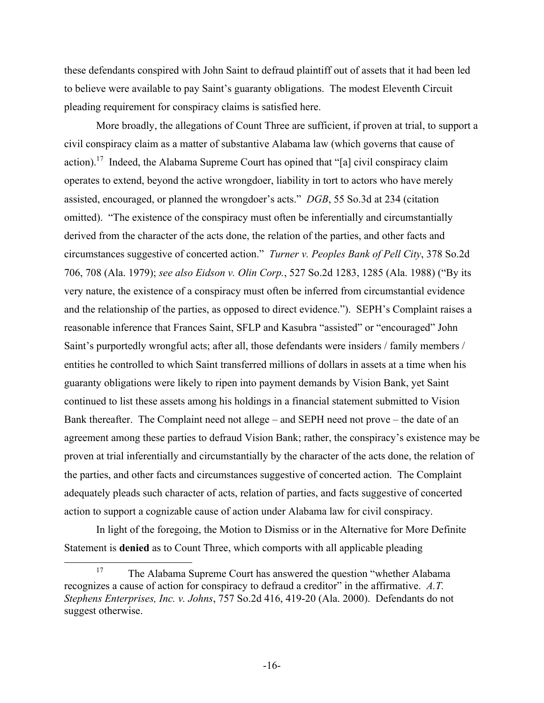these defendants conspired with John Saint to defraud plaintiff out of assets that it had been led to believe were available to pay Saint's guaranty obligations. The modest Eleventh Circuit pleading requirement for conspiracy claims is satisfied here.

More broadly, the allegations of Count Three are sufficient, if proven at trial, to support a civil conspiracy claim as a matter of substantive Alabama law (which governs that cause of action).<sup>17</sup> Indeed, the Alabama Supreme Court has opined that "[a] civil conspiracy claim operates to extend, beyond the active wrongdoer, liability in tort to actors who have merely assisted, encouraged, or planned the wrongdoer's acts." *DGB*, 55 So.3d at 234 (citation omitted). "The existence of the conspiracy must often be inferentially and circumstantially derived from the character of the acts done, the relation of the parties, and other facts and circumstances suggestive of concerted action." *Turner v. Peoples Bank of Pell City*, 378 So.2d 706, 708 (Ala. 1979); *see also Eidson v. Olin Corp.*, 527 So.2d 1283, 1285 (Ala. 1988) ("By its very nature, the existence of a conspiracy must often be inferred from circumstantial evidence and the relationship of the parties, as opposed to direct evidence."). SEPH's Complaint raises a reasonable inference that Frances Saint, SFLP and Kasubra "assisted" or "encouraged" John Saint's purportedly wrongful acts; after all, those defendants were insiders / family members / entities he controlled to which Saint transferred millions of dollars in assets at a time when his guaranty obligations were likely to ripen into payment demands by Vision Bank, yet Saint continued to list these assets among his holdings in a financial statement submitted to Vision Bank thereafter. The Complaint need not allege – and SEPH need not prove – the date of an agreement among these parties to defraud Vision Bank; rather, the conspiracy's existence may be proven at trial inferentially and circumstantially by the character of the acts done, the relation of the parties, and other facts and circumstances suggestive of concerted action. The Complaint adequately pleads such character of acts, relation of parties, and facts suggestive of concerted action to support a cognizable cause of action under Alabama law for civil conspiracy.

In light of the foregoing, the Motion to Dismiss or in the Alternative for More Definite Statement is **denied** as to Count Three, which comports with all applicable pleading

<sup>&</sup>lt;sup>17</sup> The Alabama Supreme Court has answered the question "whether Alabama" recognizes a cause of action for conspiracy to defraud a creditor" in the affirmative. *A.T. Stephens Enterprises, Inc. v. Johns*, 757 So.2d 416, 419-20 (Ala. 2000). Defendants do not suggest otherwise.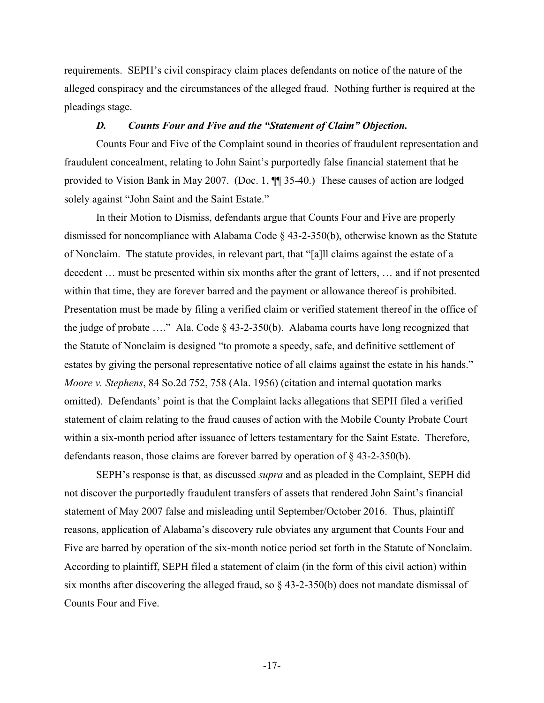requirements. SEPH's civil conspiracy claim places defendants on notice of the nature of the alleged conspiracy and the circumstances of the alleged fraud. Nothing further is required at the pleadings stage.

#### *D. Counts Four and Five and the "Statement of Claim" Objection.*

Counts Four and Five of the Complaint sound in theories of fraudulent representation and fraudulent concealment, relating to John Saint's purportedly false financial statement that he provided to Vision Bank in May 2007. (Doc. 1, ¶¶ 35-40.) These causes of action are lodged solely against "John Saint and the Saint Estate."

In their Motion to Dismiss, defendants argue that Counts Four and Five are properly dismissed for noncompliance with Alabama Code § 43-2-350(b), otherwise known as the Statute of Nonclaim. The statute provides, in relevant part, that "[a]ll claims against the estate of a decedent … must be presented within six months after the grant of letters, … and if not presented within that time, they are forever barred and the payment or allowance thereof is prohibited. Presentation must be made by filing a verified claim or verified statement thereof in the office of the judge of probate …." Ala. Code § 43-2-350(b). Alabama courts have long recognized that the Statute of Nonclaim is designed "to promote a speedy, safe, and definitive settlement of estates by giving the personal representative notice of all claims against the estate in his hands." *Moore v. Stephens*, 84 So.2d 752, 758 (Ala. 1956) (citation and internal quotation marks omitted). Defendants' point is that the Complaint lacks allegations that SEPH filed a verified statement of claim relating to the fraud causes of action with the Mobile County Probate Court within a six-month period after issuance of letters testamentary for the Saint Estate. Therefore, defendants reason, those claims are forever barred by operation of § 43-2-350(b).

SEPH's response is that, as discussed *supra* and as pleaded in the Complaint, SEPH did not discover the purportedly fraudulent transfers of assets that rendered John Saint's financial statement of May 2007 false and misleading until September/October 2016. Thus, plaintiff reasons, application of Alabama's discovery rule obviates any argument that Counts Four and Five are barred by operation of the six-month notice period set forth in the Statute of Nonclaim. According to plaintiff, SEPH filed a statement of claim (in the form of this civil action) within six months after discovering the alleged fraud, so § 43-2-350(b) does not mandate dismissal of Counts Four and Five.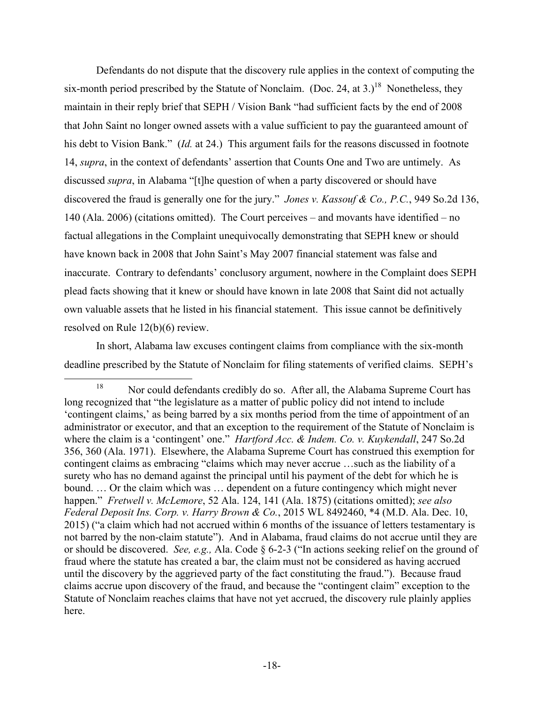Defendants do not dispute that the discovery rule applies in the context of computing the six-month period prescribed by the Statute of Nonclaim. (Doc. 24, at 3.)<sup>18</sup> Nonetheless, they maintain in their reply brief that SEPH / Vision Bank "had sufficient facts by the end of 2008 that John Saint no longer owned assets with a value sufficient to pay the guaranteed amount of his debt to Vision Bank." (*Id.* at 24.) This argument fails for the reasons discussed in footnote 14, *supra*, in the context of defendants' assertion that Counts One and Two are untimely. As discussed *supra*, in Alabama "[t]he question of when a party discovered or should have discovered the fraud is generally one for the jury." *Jones v. Kassouf & Co., P.C.*, 949 So.2d 136, 140 (Ala. 2006) (citations omitted). The Court perceives – and movants have identified – no factual allegations in the Complaint unequivocally demonstrating that SEPH knew or should have known back in 2008 that John Saint's May 2007 financial statement was false and inaccurate. Contrary to defendants' conclusory argument, nowhere in the Complaint does SEPH plead facts showing that it knew or should have known in late 2008 that Saint did not actually own valuable assets that he listed in his financial statement. This issue cannot be definitively resolved on Rule 12(b)(6) review.

In short, Alabama law excuses contingent claims from compliance with the six-month deadline prescribed by the Statute of Nonclaim for filing statements of verified claims. SEPH's

<sup>&</sup>lt;sup>18</sup> Nor could defendants credibly do so. After all, the Alabama Supreme Court has long recognized that "the legislature as a matter of public policy did not intend to include 'contingent claims,' as being barred by a six months period from the time of appointment of an administrator or executor, and that an exception to the requirement of the Statute of Nonclaim is where the claim is a 'contingent' one." *Hartford Acc. & Indem. Co. v. Kuykendall*, 247 So.2d 356, 360 (Ala. 1971). Elsewhere, the Alabama Supreme Court has construed this exemption for contingent claims as embracing "claims which may never accrue …such as the liability of a surety who has no demand against the principal until his payment of the debt for which he is bound. … Or the claim which was … dependent on a future contingency which might never happen." *Fretwell v. McLemore*, 52 Ala. 124, 141 (Ala. 1875) (citations omitted); *see also Federal Deposit Ins. Corp. v. Harry Brown & Co.*, 2015 WL 8492460, \*4 (M.D. Ala. Dec. 10, 2015) ("a claim which had not accrued within 6 months of the issuance of letters testamentary is not barred by the non-claim statute"). And in Alabama, fraud claims do not accrue until they are or should be discovered. *See, e.g.,* Ala. Code § 6-2-3 ("In actions seeking relief on the ground of fraud where the statute has created a bar, the claim must not be considered as having accrued until the discovery by the aggrieved party of the fact constituting the fraud."). Because fraud claims accrue upon discovery of the fraud, and because the "contingent claim" exception to the Statute of Nonclaim reaches claims that have not yet accrued, the discovery rule plainly applies here.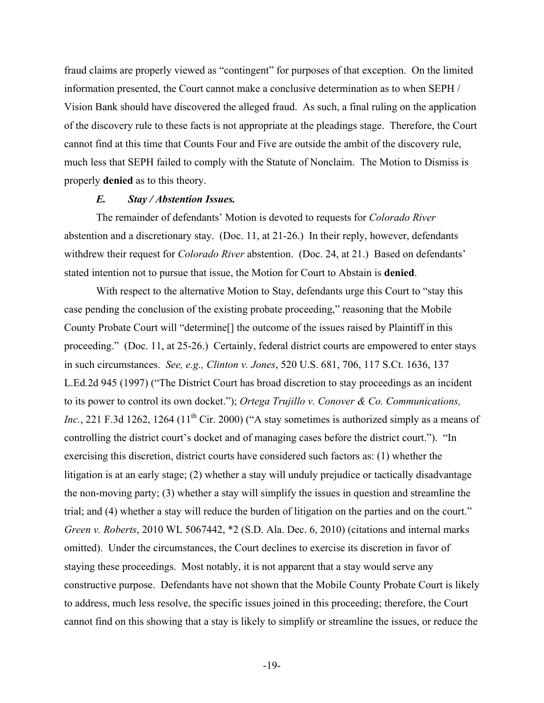fraud claims are properly viewed as "contingent" for purposes of that exception. On the limited information presented, the Court cannot make a conclusive determination as to when SEPH / Vision Bank should have discovered the alleged fraud. As such, a final ruling on the application of the discovery rule to these facts is not appropriate at the pleadings stage. Therefore, the Court cannot find at this time that Counts Four and Five are outside the ambit of the discovery rule, much less that SEPH failed to comply with the Statute of Nonclaim. The Motion to Dismiss is properly **denied** as to this theory.

#### *E. Stay / Abstention Issues.*

The remainder of defendants' Motion is devoted to requests for *Colorado River* abstention and a discretionary stay. (Doc. 11, at 21-26.) In their reply, however, defendants withdrew their request for *Colorado River* abstention. (Doc. 24, at 21.) Based on defendants' stated intention not to pursue that issue, the Motion for Court to Abstain is **denied**.

With respect to the alternative Motion to Stay, defendants urge this Court to "stay this case pending the conclusion of the existing probate proceeding," reasoning that the Mobile County Probate Court will "determine[] the outcome of the issues raised by Plaintiff in this proceeding." (Doc. 11, at 25-26.) Certainly, federal district courts are empowered to enter stays in such circumstances. *See, e.g., Clinton v. Jones*, 520 U.S. 681, 706, 117 S.Ct. 1636, 137 L.Ed.2d 945 (1997) ("The District Court has broad discretion to stay proceedings as an incident to its power to control its own docket."); *Ortega Trujillo v. Conover & Co. Communications, Inc.*, 221 F.3d 1262, 1264 (11<sup>th</sup> Cir. 2000) ("A stay sometimes is authorized simply as a means of controlling the district court's docket and of managing cases before the district court."). "In exercising this discretion, district courts have considered such factors as: (1) whether the litigation is at an early stage; (2) whether a stay will unduly prejudice or tactically disadvantage the non-moving party; (3) whether a stay will simplify the issues in question and streamline the trial; and (4) whether a stay will reduce the burden of litigation on the parties and on the court." *Green v. Roberts*, 2010 WL 5067442, \*2 (S.D. Ala. Dec. 6, 2010) (citations and internal marks omitted). Under the circumstances, the Court declines to exercise its discretion in favor of staying these proceedings. Most notably, it is not apparent that a stay would serve any constructive purpose. Defendants have not shown that the Mobile County Probate Court is likely to address, much less resolve, the specific issues joined in this proceeding; therefore, the Court cannot find on this showing that a stay is likely to simplify or streamline the issues, or reduce the